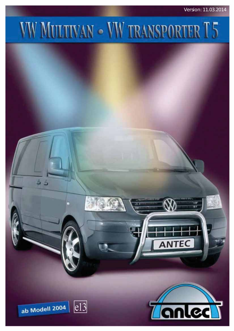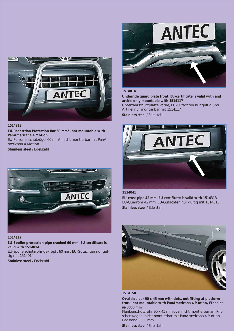

#### **1514313**

**EU-Pedestrian Protection Bar 60 mm\*, not mountable with PanAmericana 4 Motion** 

EU-Personenschutzügel 60 mm\*, nicht montierbar mit PanAmericana 4 Motion

**Stainless stee**l / Edelstahl



#### **1514117**

### **EU-Spoiler protection pipe cranked 60 mm, EU-certificate is valid with 1514014**

EU-Spoilerschutzrohr gekröpft 60 mm, EU-Gutachten nur gültig mit 1514014

**Stainless stee**l / Edelstahl



## **1514014**

Underride guard plate front, EU-certificate is valid with and **article only mountable with 1514117** Unterfahrschutzplatte vorne, EU-Gutachten nur gültig und Artikel nur montierbar mit 1514117 **Stainless stee**l / Edelstahl



#### **1514041**

EU-cross pipe 42 mm, EU-certificate is valid with 1514313 EU-Querrohr 42 mm, EU-Gutachten nur gültig mit 1514313 **Stainless stee**l / Edelstahl



#### **1514150**

Oval side bar 90 x 45 mm with dots, not fitting at platform **truck, not mountable with PanAmericana 4 Motion, Wheelbase 3000 mm**

Flankenschutzrohr 90 x 45 mm oval nicht montierbar am Pritschenwagen, nicht montierbar mit PanAmericana 4 Motion, Radstand 3000 mm

**Stainless stee**l / Edelstahl